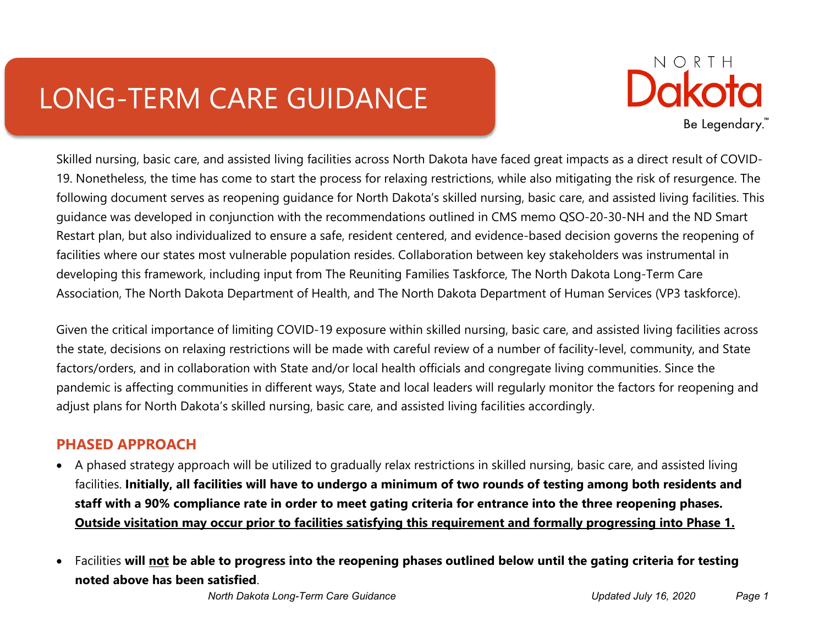# LONG-TERM CARE GUIDANCE



Skilled nursing, basic care, and assisted living facilities across North Dakota have faced great impacts as a direct result of COVID-19. Nonetheless, the time has come to start the process for relaxing restrictions, while also mitigating the risk of resurgence. The following document serves as reopening guidance for North Dakota's skilled nursing, basic care, and assisted living facilities. This guidance was developed in conjunction with the recommendations outlined in CMS memo QSO-20-30-NH and the ND Smart Restart plan, but also individualized to ensure a safe, resident centered, and evidence-based decision governs the reopening of facilities where our states most vulnerable population resides. Collaboration between key stakeholders was instrumental in developing this framework, including input from The Reuniting Families Taskforce, The North Dakota Long-Term Care Association, The North Dakota Department of Health, and The North Dakota Department of Human Services (VP3 taskforce).

Given the critical importance of limiting COVID-19 exposure within skilled nursing, basic care, and assisted living facilities across the state, decisions on relaxing restrictions will be made with careful review of a number of facility-level, community, and State factors/orders, and in collaboration with State and/or local health officials and congregate living communities. Since the pandemic is affecting communities in different ways, State and local leaders will regularly monitor the factors for reopening and adjust plans for North Dakota's skilled nursing, basic care, and assisted living facilities accordingly.

## **PHASED APPROACH**

- A phased strategy approach will be utilized to gradually relax restrictions in skilled nursing, basic care, and assisted living facilities. **Initially, all facilities will have to undergo a minimum of two rounds of testing among both residents and staff with a 90% compliance rate in order to meet gating criteria for entrance into the three reopening phases. Outside visitation may occur prior to facilities satisfying this requirement and formally progressing into Phase 1.**
- Facilities **will not be able to progress into the reopening phases outlined below until the gating criteria for testing noted above has been satisfied**.

*North Dakota Long-Term Care Guidance Updated July 16, 2020 Page 1*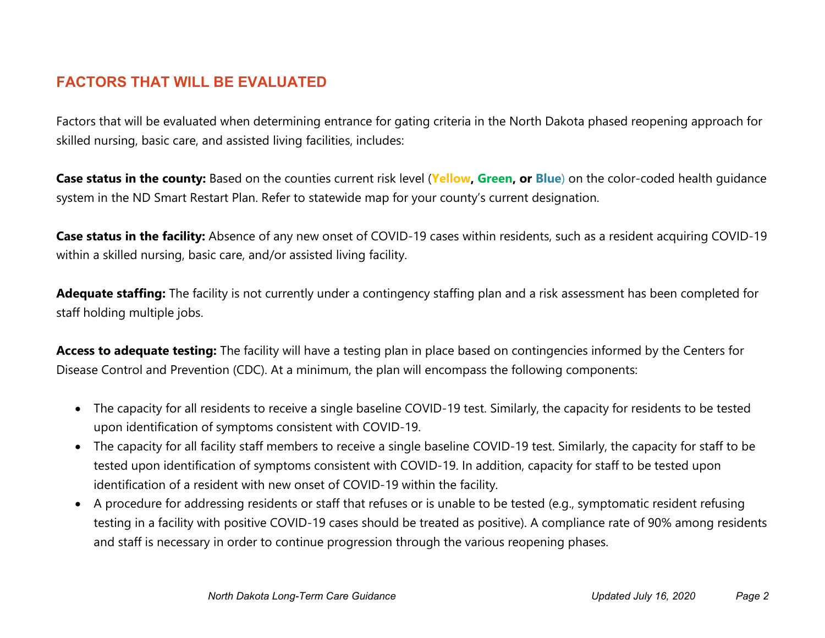## **FACTORS THAT WILL BE EVALUATED**

Factors that will be evaluated when determining entrance for gating criteria in the North Dakota phased reopening approach for skilled nursing, basic care, and assisted living facilities, includes:

**Case status in the county:** Based on the counties current risk level (**Yellow, Green, or Blue**) on the color-coded health guidance system in the ND Smart Restart Plan. Refer to statewide map for your county's current designation.

Case status in the facility: Absence of any new onset of COVID-19 cases within residents, such as a resident acquiring COVID-19 within a skilled nursing, basic care, and/or assisted living facility.

**Adequate staffing:** The facility is not currently under a contingency staffing plan and a risk assessment has been completed for staff holding multiple jobs.

**Access to adequate testing:** The facility will have a testing plan in place based on contingencies informed by the Centers for Disease Control and Prevention (CDC). At a minimum, the plan will encompass the following components:

- The capacity for all residents to receive a single baseline COVID-19 test. Similarly, the capacity for residents to be tested upon identification of symptoms consistent with COVID-19.
- The capacity for all facility staff members to receive a single baseline COVID-19 test. Similarly, the capacity for staff to be tested upon identification of symptoms consistent with COVID-19. In addition, capacity for staff to be tested upon identification of a resident with new onset of COVID-19 within the facility.
- A procedure for addressing residents or staff that refuses or is unable to be tested (e.g., symptomatic resident refusing testing in a facility with positive COVID-19 cases should be treated as positive). A compliance rate of 90% among residents and staff is necessary in order to continue progression through the various reopening phases.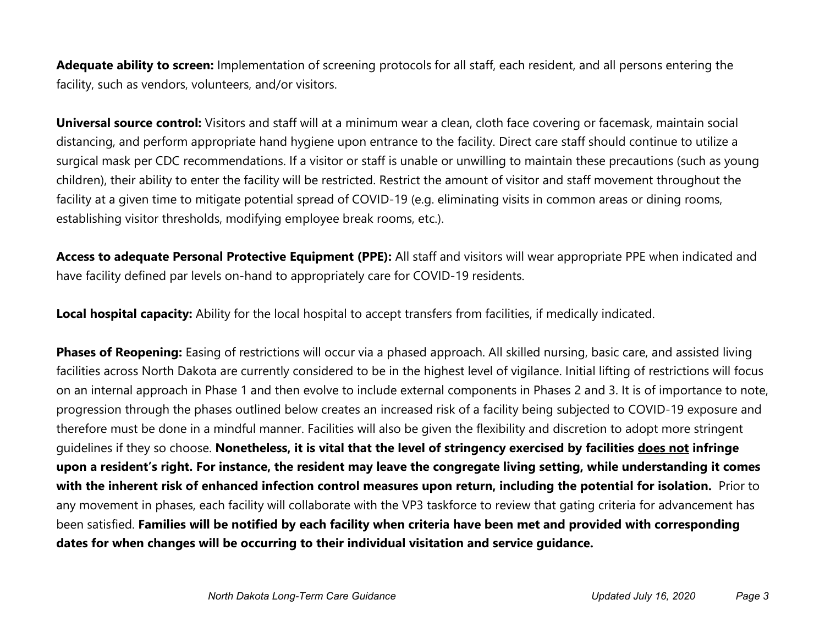**Adequate ability to screen:** Implementation of screening protocols for all staff, each resident, and all persons entering the facility, such as vendors, volunteers, and/or visitors.

**Universal source control:** Visitors and staff will at a minimum wear a clean, cloth face covering or facemask, maintain social distancing, and perform appropriate hand hygiene upon entrance to the facility. Direct care staff should continue to utilize a surgical mask per CDC recommendations. If a visitor or staff is unable or unwilling to maintain these precautions (such as young children), their ability to enter the facility will be restricted. Restrict the amount of visitor and staff movement throughout the facility at a given time to mitigate potential spread of COVID-19 (e.g. eliminating visits in common areas or dining rooms, establishing visitor thresholds, modifying employee break rooms, etc.).

**Access to adequate Personal Protective Equipment (PPE):** All staff and visitors will wear appropriate PPE when indicated and have facility defined par levels on-hand to appropriately care for COVID-19 residents.

**Local hospital capacity:** Ability for the local hospital to accept transfers from facilities, if medically indicated.

**Phases of Reopening:** Easing of restrictions will occur via a phased approach. All skilled nursing, basic care, and assisted living facilities across North Dakota are currently considered to be in the highest level of vigilance. Initial lifting of restrictions will focus on an internal approach in Phase 1 and then evolve to include external components in Phases 2 and 3. It is of importance to note, progression through the phases outlined below creates an increased risk of a facility being subjected to COVID-19 exposure and therefore must be done in a mindful manner. Facilities will also be given the flexibility and discretion to adopt more stringent guidelines if they so choose. **Nonetheless, it is vital that the level of stringency exercised by facilities does not infringe upon a resident's right. For instance, the resident may leave the congregate living setting, while understanding it comes with the inherent risk of enhanced infection control measures upon return, including the potential for isolation.** Prior to any movement in phases, each facility will collaborate with the VP3 taskforce to review that gating criteria for advancement has been satisfied. **Families will be notified by each facility when criteria have been met and provided with corresponding dates for when changes will be occurring to their individual visitation and service guidance.**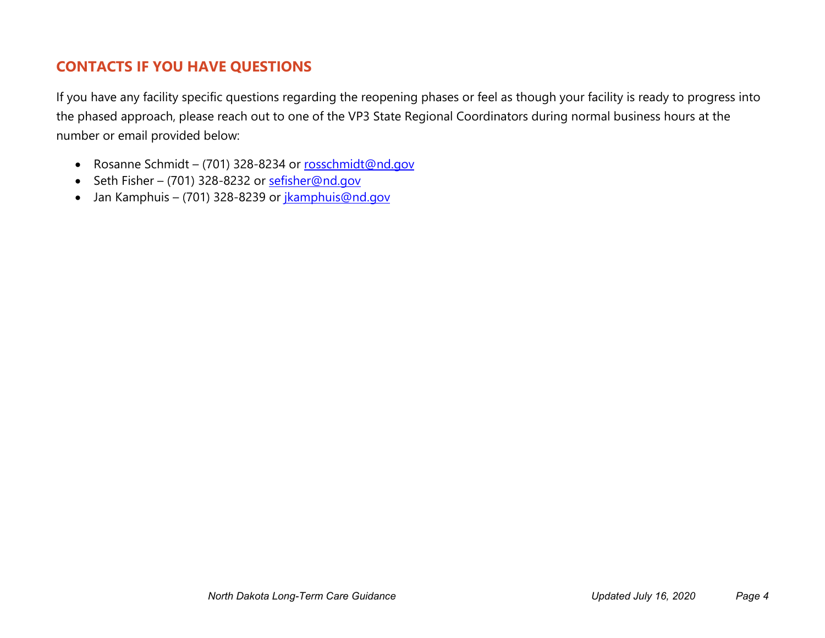# **CONTACTS IF YOU HAVE QUESTIONS**

If you have any facility specific questions regarding the reopening phases or feel as though your facility is ready to progress into the phased approach, please reach out to one of the VP3 State Regional Coordinators during normal business hours at the number or email provided below:

- Rosanne Schmidt (701) 328-8234 or [rosschmidt@nd.gov](mailto:rosschmidt@nd.gov)
- Seth Fisher (701) 328-8232 or [sefisher@nd.gov](mailto:sefisher@nd.gov)
- Jan Kamphuis (701) 328-8239 or *jkamphuis@nd.gov*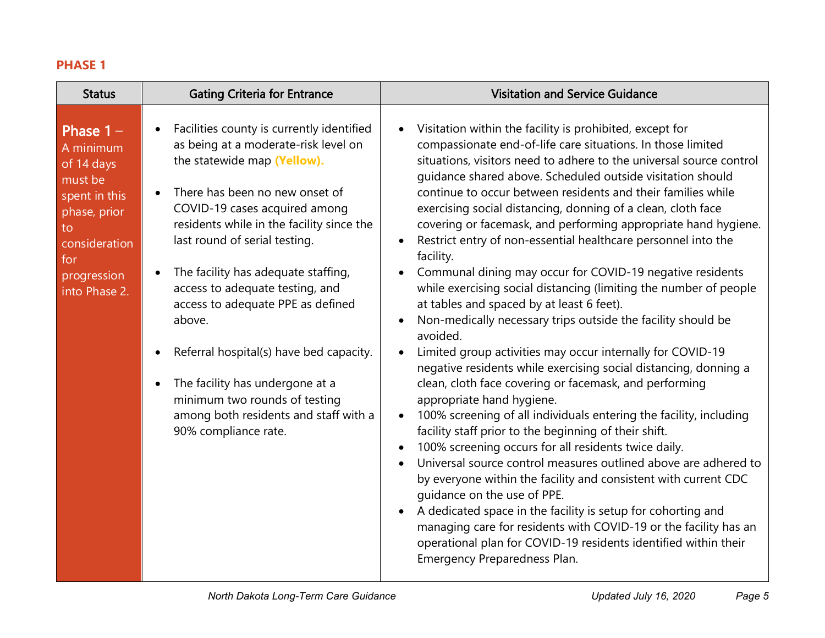### **PHASE 1**

| <b>Status</b>                                                                                                                                    | <b>Gating Criteria for Entrance</b>                                                                                                                                                                                                                                                                                                                                                                                                                                                                                                                                        | <b>Visitation and Service Guidance</b>                                                                                                                                                                                                                                                                                                                                                                                                                                                                                                                                                                                                                                                                                                                                                                                                                                                                                                                                                                                                                                                                                                                                                                                                                                                                                                                                                                                                                                                                                                                                                                                                                                                                                                                   |
|--------------------------------------------------------------------------------------------------------------------------------------------------|----------------------------------------------------------------------------------------------------------------------------------------------------------------------------------------------------------------------------------------------------------------------------------------------------------------------------------------------------------------------------------------------------------------------------------------------------------------------------------------------------------------------------------------------------------------------------|----------------------------------------------------------------------------------------------------------------------------------------------------------------------------------------------------------------------------------------------------------------------------------------------------------------------------------------------------------------------------------------------------------------------------------------------------------------------------------------------------------------------------------------------------------------------------------------------------------------------------------------------------------------------------------------------------------------------------------------------------------------------------------------------------------------------------------------------------------------------------------------------------------------------------------------------------------------------------------------------------------------------------------------------------------------------------------------------------------------------------------------------------------------------------------------------------------------------------------------------------------------------------------------------------------------------------------------------------------------------------------------------------------------------------------------------------------------------------------------------------------------------------------------------------------------------------------------------------------------------------------------------------------------------------------------------------------------------------------------------------------|
| Phase $1 -$<br>A minimum<br>of 14 days<br>must be<br>spent in this<br>phase, prior<br>to<br>consideration<br>for<br>progression<br>into Phase 2. | Facilities county is currently identified<br>as being at a moderate-risk level on<br>the statewide map (Yellow).<br>There has been no new onset of<br>COVID-19 cases acquired among<br>residents while in the facility since the<br>last round of serial testing.<br>The facility has adequate staffing,<br>access to adequate testing, and<br>access to adequate PPE as defined<br>above.<br>Referral hospital(s) have bed capacity.<br>The facility has undergone at a<br>minimum two rounds of testing<br>among both residents and staff with a<br>90% compliance rate. | Visitation within the facility is prohibited, except for<br>$\bullet$<br>compassionate end-of-life care situations. In those limited<br>situations, visitors need to adhere to the universal source control<br>guidance shared above. Scheduled outside visitation should<br>continue to occur between residents and their families while<br>exercising social distancing, donning of a clean, cloth face<br>covering or facemask, and performing appropriate hand hygiene.<br>Restrict entry of non-essential healthcare personnel into the<br>$\bullet$<br>facility.<br>Communal dining may occur for COVID-19 negative residents<br>$\bullet$<br>while exercising social distancing (limiting the number of people<br>at tables and spaced by at least 6 feet).<br>Non-medically necessary trips outside the facility should be<br>$\bullet$<br>avoided.<br>Limited group activities may occur internally for COVID-19<br>$\bullet$<br>negative residents while exercising social distancing, donning a<br>clean, cloth face covering or facemask, and performing<br>appropriate hand hygiene.<br>100% screening of all individuals entering the facility, including<br>$\bullet$<br>facility staff prior to the beginning of their shift.<br>100% screening occurs for all residents twice daily.<br>$\bullet$<br>Universal source control measures outlined above are adhered to<br>$\bullet$<br>by everyone within the facility and consistent with current CDC<br>quidance on the use of PPE.<br>A dedicated space in the facility is setup for cohorting and<br>$\bullet$<br>managing care for residents with COVID-19 or the facility has an<br>operational plan for COVID-19 residents identified within their<br>Emergency Preparedness Plan. |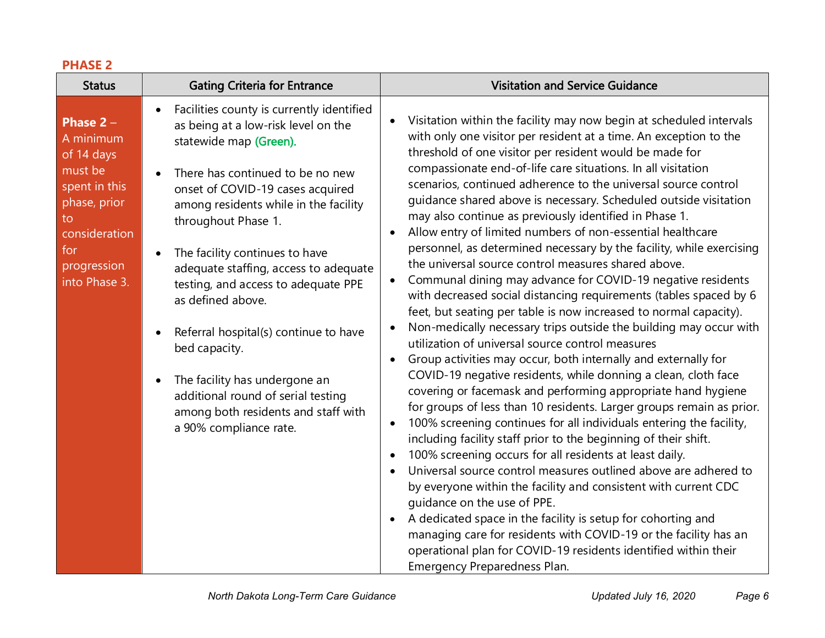#### **PHASE 2**

| <b>Status</b>                                                                                                                                    | <b>Gating Criteria for Entrance</b>                                                                                                                                                                                                                                                                                                                                                                                                                                                                                                                                                                      | <b>Visitation and Service Guidance</b>                                                                                                                                                                                                                                                                                                                                                                                                                                                                                                                                                                                                                                                                                                                                                                                                                                                                                                                                                                                                                                                                                                                                                                                                                                                                                                                                                                                                                                                                                                                                                                                                                                                                                                                                                                                                                                                                                                                                        |
|--------------------------------------------------------------------------------------------------------------------------------------------------|----------------------------------------------------------------------------------------------------------------------------------------------------------------------------------------------------------------------------------------------------------------------------------------------------------------------------------------------------------------------------------------------------------------------------------------------------------------------------------------------------------------------------------------------------------------------------------------------------------|-------------------------------------------------------------------------------------------------------------------------------------------------------------------------------------------------------------------------------------------------------------------------------------------------------------------------------------------------------------------------------------------------------------------------------------------------------------------------------------------------------------------------------------------------------------------------------------------------------------------------------------------------------------------------------------------------------------------------------------------------------------------------------------------------------------------------------------------------------------------------------------------------------------------------------------------------------------------------------------------------------------------------------------------------------------------------------------------------------------------------------------------------------------------------------------------------------------------------------------------------------------------------------------------------------------------------------------------------------------------------------------------------------------------------------------------------------------------------------------------------------------------------------------------------------------------------------------------------------------------------------------------------------------------------------------------------------------------------------------------------------------------------------------------------------------------------------------------------------------------------------------------------------------------------------------------------------------------------------|
| Phase $2 -$<br>A minimum<br>of 14 days<br>must be<br>spent in this<br>phase, prior<br>to<br>consideration<br>for<br>progression<br>into Phase 3. | Facilities county is currently identified<br>as being at a low-risk level on the<br>statewide map (Green).<br>There has continued to be no new<br>onset of COVID-19 cases acquired<br>among residents while in the facility<br>throughout Phase 1.<br>The facility continues to have<br>adequate staffing, access to adequate<br>testing, and access to adequate PPE<br>as defined above.<br>Referral hospital(s) continue to have<br>bed capacity.<br>The facility has undergone an<br>$\bullet$<br>additional round of serial testing<br>among both residents and staff with<br>a 90% compliance rate. | Visitation within the facility may now begin at scheduled intervals<br>$\bullet$<br>with only one visitor per resident at a time. An exception to the<br>threshold of one visitor per resident would be made for<br>compassionate end-of-life care situations. In all visitation<br>scenarios, continued adherence to the universal source control<br>guidance shared above is necessary. Scheduled outside visitation<br>may also continue as previously identified in Phase 1.<br>Allow entry of limited numbers of non-essential healthcare<br>$\bullet$<br>personnel, as determined necessary by the facility, while exercising<br>the universal source control measures shared above.<br>Communal dining may advance for COVID-19 negative residents<br>with decreased social distancing requirements (tables spaced by 6<br>feet, but seating per table is now increased to normal capacity).<br>Non-medically necessary trips outside the building may occur with<br>$\bullet$<br>utilization of universal source control measures<br>Group activities may occur, both internally and externally for<br>COVID-19 negative residents, while donning a clean, cloth face<br>covering or facemask and performing appropriate hand hygiene<br>for groups of less than 10 residents. Larger groups remain as prior.<br>100% screening continues for all individuals entering the facility,<br>$\bullet$<br>including facility staff prior to the beginning of their shift.<br>100% screening occurs for all residents at least daily.<br>$\bullet$<br>Universal source control measures outlined above are adhered to<br>$\bullet$<br>by everyone within the facility and consistent with current CDC<br>quidance on the use of PPE.<br>A dedicated space in the facility is setup for cohorting and<br>managing care for residents with COVID-19 or the facility has an<br>operational plan for COVID-19 residents identified within their<br>Emergency Preparedness Plan. |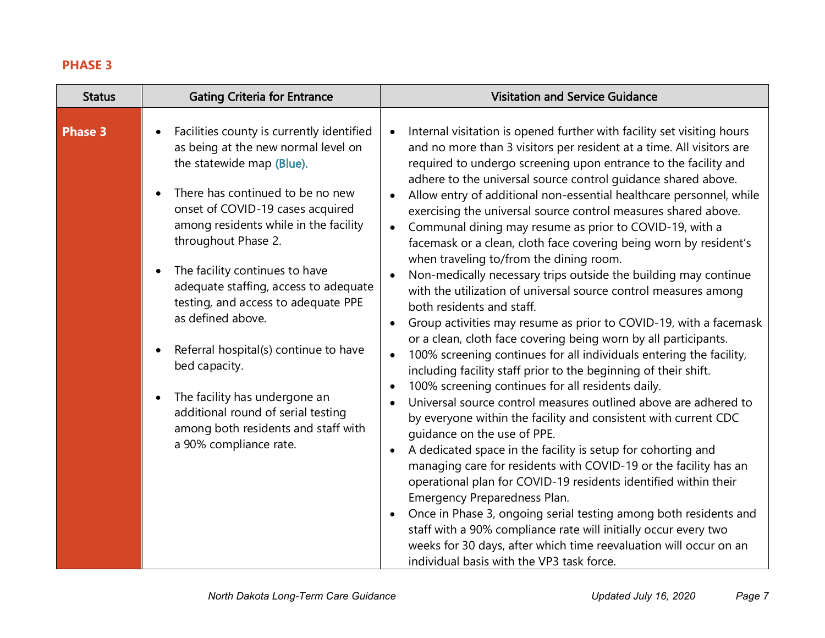#### **PHASE 3**

| <b>Status</b>  | <b>Gating Criteria for Entrance</b>                                                                                                                                                                                                                                                                                                                                                                                                                                                                                                                                                                                                                | <b>Visitation and Service Guidance</b>                                                                                                                                                                                                                                                                                                                                                                                                                                                                                                                                                                                                                                                                                                                                                                                                                                                                                                                                                                                                                                                                                                                                                                                                                                                                                                                                                                                                                                                                                                                                                                                                                                                                                                                                                                                                                                   |
|----------------|----------------------------------------------------------------------------------------------------------------------------------------------------------------------------------------------------------------------------------------------------------------------------------------------------------------------------------------------------------------------------------------------------------------------------------------------------------------------------------------------------------------------------------------------------------------------------------------------------------------------------------------------------|--------------------------------------------------------------------------------------------------------------------------------------------------------------------------------------------------------------------------------------------------------------------------------------------------------------------------------------------------------------------------------------------------------------------------------------------------------------------------------------------------------------------------------------------------------------------------------------------------------------------------------------------------------------------------------------------------------------------------------------------------------------------------------------------------------------------------------------------------------------------------------------------------------------------------------------------------------------------------------------------------------------------------------------------------------------------------------------------------------------------------------------------------------------------------------------------------------------------------------------------------------------------------------------------------------------------------------------------------------------------------------------------------------------------------------------------------------------------------------------------------------------------------------------------------------------------------------------------------------------------------------------------------------------------------------------------------------------------------------------------------------------------------------------------------------------------------------------------------------------------------|
| <b>Phase 3</b> | Facilities county is currently identified<br>as being at the new normal level on<br>the statewide map (Blue).<br>There has continued to be no new<br>$\bullet$<br>onset of COVID-19 cases acquired<br>among residents while in the facility<br>throughout Phase 2.<br>The facility continues to have<br>$\bullet$<br>adequate staffing, access to adequate<br>testing, and access to adequate PPE<br>as defined above.<br>Referral hospital(s) continue to have<br>$\bullet$<br>bed capacity.<br>The facility has undergone an<br>$\bullet$<br>additional round of serial testing<br>among both residents and staff with<br>a 90% compliance rate. | Internal visitation is opened further with facility set visiting hours<br>$\bullet$<br>and no more than 3 visitors per resident at a time. All visitors are<br>required to undergo screening upon entrance to the facility and<br>adhere to the universal source control guidance shared above.<br>Allow entry of additional non-essential healthcare personnel, while<br>exercising the universal source control measures shared above.<br>Communal dining may resume as prior to COVID-19, with a<br>$\bullet$<br>facemask or a clean, cloth face covering being worn by resident's<br>when traveling to/from the dining room.<br>Non-medically necessary trips outside the building may continue<br>with the utilization of universal source control measures among<br>both residents and staff.<br>Group activities may resume as prior to COVID-19, with a facemask<br>$\bullet$<br>or a clean, cloth face covering being worn by all participants.<br>100% screening continues for all individuals entering the facility,<br>$\bullet$<br>including facility staff prior to the beginning of their shift.<br>100% screening continues for all residents daily.<br>$\bullet$<br>Universal source control measures outlined above are adhered to<br>by everyone within the facility and consistent with current CDC<br>guidance on the use of PPE.<br>A dedicated space in the facility is setup for cohorting and<br>٠<br>managing care for residents with COVID-19 or the facility has an<br>operational plan for COVID-19 residents identified within their<br>Emergency Preparedness Plan.<br>Once in Phase 3, ongoing serial testing among both residents and<br>$\bullet$<br>staff with a 90% compliance rate will initially occur every two<br>weeks for 30 days, after which time reevaluation will occur on an<br>individual basis with the VP3 task force. |